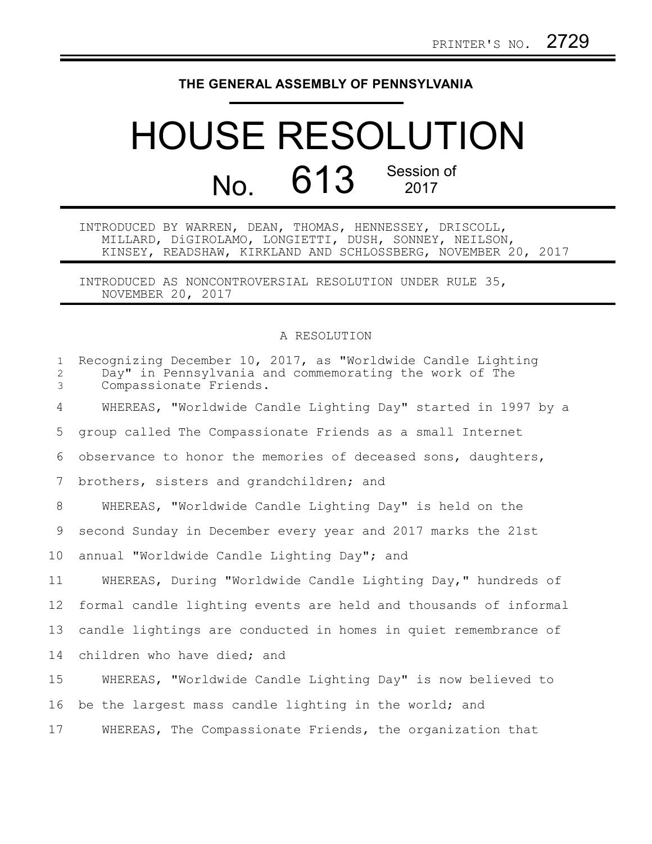## **THE GENERAL ASSEMBLY OF PENNSYLVANIA**

## HOUSE RESOLUTION No. 613 Session of

INTRODUCED BY WARREN, DEAN, THOMAS, HENNESSEY, DRISCOLL, MILLARD, DiGIROLAMO, LONGIETTI, DUSH, SONNEY, NEILSON, KINSEY, READSHAW, KIRKLAND AND SCHLOSSBERG, NOVEMBER 20, 2017

INTRODUCED AS NONCONTROVERSIAL RESOLUTION UNDER RULE 35, NOVEMBER 20, 2017

## A RESOLUTION

| $\mathbf{1}$<br>$\overline{2}$<br>$\mathfrak{Z}$ | Recognizing December 10, 2017, as "Worldwide Candle Lighting<br>Day" in Pennsylvania and commemorating the work of The<br>Compassionate Friends. |
|--------------------------------------------------|--------------------------------------------------------------------------------------------------------------------------------------------------|
| 4                                                | WHEREAS, "Worldwide Candle Lighting Day" started in 1997 by a                                                                                    |
| 5                                                | group called The Compassionate Friends as a small Internet                                                                                       |
| 6                                                | observance to honor the memories of deceased sons, daughters,                                                                                    |
| 7                                                | brothers, sisters and grandchildren; and                                                                                                         |
| 8                                                | WHEREAS, "Worldwide Candle Lighting Day" is held on the                                                                                          |
| 9                                                | second Sunday in December every year and 2017 marks the 21st                                                                                     |
| 10                                               | annual "Worldwide Candle Lighting Day"; and                                                                                                      |
| 11                                               | WHEREAS, During "Worldwide Candle Lighting Day," hundreds of                                                                                     |
| 12 <sup>°</sup>                                  | formal candle lighting events are held and thousands of informal                                                                                 |
| 13                                               | candle lightings are conducted in homes in quiet remembrance of                                                                                  |
| 14                                               | children who have died; and                                                                                                                      |
| 15                                               | WHEREAS, "Worldwide Candle Lighting Day" is now believed to                                                                                      |
| 16                                               | be the largest mass candle lighting in the world; and                                                                                            |
| 17                                               | WHEREAS, The Compassionate Friends, the organization that                                                                                        |